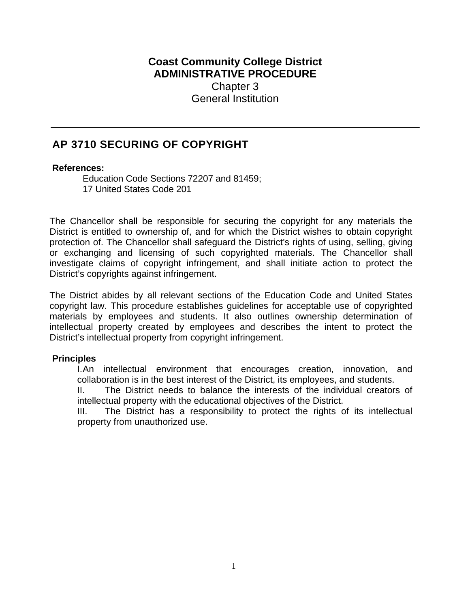## **Coast Community College District ADMINISTRATIVE PROCEDURE**  Chapter 3 General Institution

# **AP 3710 SECURING OF COPYRIGHT**

#### **References:**

Education Code Sections 72207 and 81459; 17 United States Code 201

The Chancellor shall be responsible for securing the copyright for any materials the District is entitled to ownership of, and for which the District wishes to obtain copyright protection of. The Chancellor shall safeguard the District's rights of using, selling, giving or exchanging and licensing of such copyrighted materials. The Chancellor shall investigate claims of copyright infringement, and shall initiate action to protect the District's copyrights against infringement.

The District abides by all relevant sections of the Education Code and United States copyright law. This procedure establishes guidelines for acceptable use of copyrighted materials by employees and students. It also outlines ownership determination of intellectual property created by employees and describes the intent to protect the District's intellectual property from copyright infringement.

### **Principles**

I. An intellectual environment that encourages creation, innovation, and collaboration is in the best interest of the District, its employees, and students.

II. The District needs to balance the interests of the individual creators of intellectual property with the educational objectives of the District.

III. The District has a responsibility to protect the rights of its intellectual property from unauthorized use.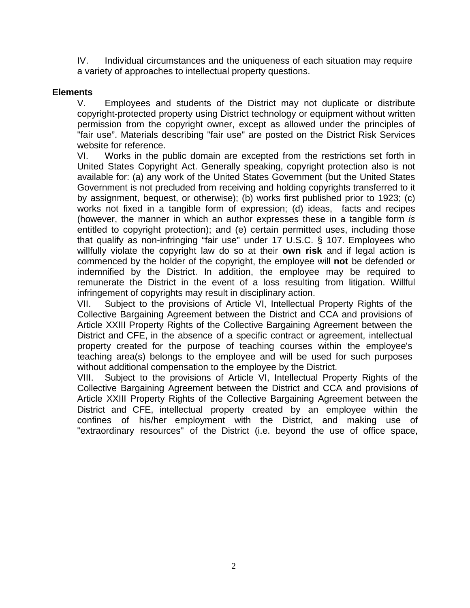IV. Individual circumstances and the uniqueness of each situation may require a variety of approaches to intellectual property questions.

## **Elements**

V. Employees and students of the District may not duplicate or distribute copyright-protected property using District technology or equipment without written permission from the copyright owner, except as allowed under the principles of "fair use". Materials describing "fair use" are posted on the District Risk Services website for reference.

VI. Works in the public domain are excepted from the restrictions set forth in United States Copyright Act. Generally speaking, copyright protection also is not available for: (a) any work of the United States Government (but the United States Government is not precluded from receiving and holding copyrights transferred to it by assignment, bequest, or otherwise); (b) works first published prior to 1923; (c) works not fixed in a tangible form of expression; (d) ideas, facts and recipes (however, the manner in which an author expresses these in a tangible form *is*  entitled to copyright protection); and (e) certain permitted uses, including those that qualify as non-infringing "fair use" under 17 U.S.C. § 107. Employees who willfully violate the copyright law do so at their **own risk** and if legal action is commenced by the holder of the copyright, the employee will **not** be defended or indemnified by the District. In addition, the employee may be required to remunerate the District in the event of a loss resulting from litigation. Willful infringement of copyrights may result in disciplinary action.

VII. Subject to the provisions of Article VI, Intellectual Property Rights of the Collective Bargaining Agreement between the District and CCA and provisions of Article XXIII Property Rights of the Collective Bargaining Agreement between the District and CFE, in the absence of a specific contract or agreement, intellectual property created for the purpose of teaching courses within the employee's teaching area(s) belongs to the employee and will be used for such purposes without additional compensation to the employee by the District.

VIII. Subject to the provisions of Article VI, Intellectual Property Rights of the Collective Bargaining Agreement between the District and CCA and provisions of Article XXIII Property Rights of the Collective Bargaining Agreement between the District and CFE, intellectual property created by an employee within the confines of his/her employment with the District, and making use of "extraordinary resources" of the District (i.e. beyond the use of office space,